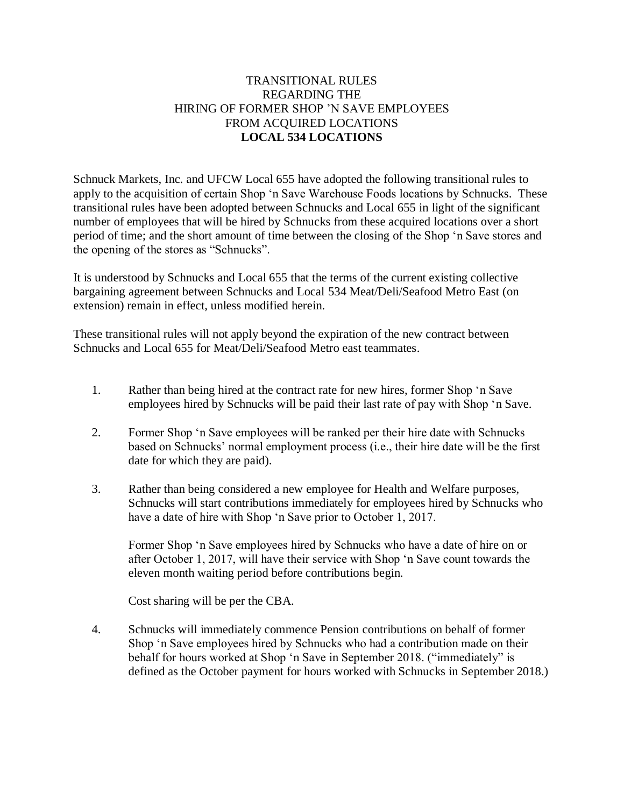## TRANSITIONAL RULES REGARDING THE HIRING OF FORMER SHOP 'N SAVE EMPLOYEES FROM ACQUIRED LOCATIONS **LOCAL 534 LOCATIONS**

Schnuck Markets, Inc. and UFCW Local 655 have adopted the following transitional rules to apply to the acquisition of certain Shop 'n Save Warehouse Foods locations by Schnucks. These transitional rules have been adopted between Schnucks and Local 655 in light of the significant number of employees that will be hired by Schnucks from these acquired locations over a short period of time; and the short amount of time between the closing of the Shop 'n Save stores and the opening of the stores as "Schnucks".

It is understood by Schnucks and Local 655 that the terms of the current existing collective bargaining agreement between Schnucks and Local 534 Meat/Deli/Seafood Metro East (on extension) remain in effect, unless modified herein.

These transitional rules will not apply beyond the expiration of the new contract between Schnucks and Local 655 for Meat/Deli/Seafood Metro east teammates.

- 1. Rather than being hired at the contract rate for new hires, former Shop 'n Save employees hired by Schnucks will be paid their last rate of pay with Shop 'n Save.
- 2. Former Shop 'n Save employees will be ranked per their hire date with Schnucks based on Schnucks' normal employment process (i.e., their hire date will be the first date for which they are paid).
- 3. Rather than being considered a new employee for Health and Welfare purposes, Schnucks will start contributions immediately for employees hired by Schnucks who have a date of hire with Shop 'n Save prior to October 1, 2017.

Former Shop 'n Save employees hired by Schnucks who have a date of hire on or after October 1, 2017, will have their service with Shop 'n Save count towards the eleven month waiting period before contributions begin.

Cost sharing will be per the CBA.

4. Schnucks will immediately commence Pension contributions on behalf of former Shop 'n Save employees hired by Schnucks who had a contribution made on their behalf for hours worked at Shop 'n Save in September 2018. ("immediately" is defined as the October payment for hours worked with Schnucks in September 2018.)